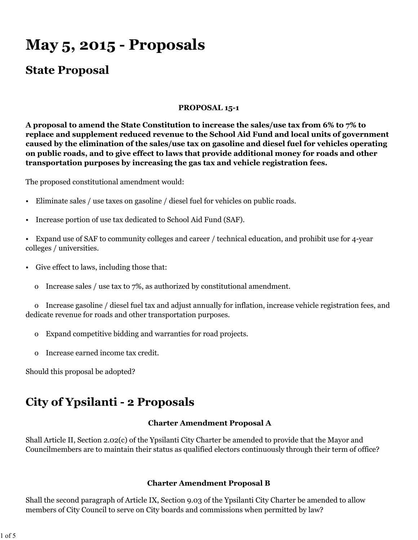# **May 5, 2015 - Proposals**

### **State Proposal**

#### **PROPOSAL 15-1**

**A proposal to amend the State Constitution to increase the sales/use tax from 6% to 7% to replace and supplement reduced revenue to the School Aid Fund and local units of government caused by the elimination of the sales/use tax on gasoline and diesel fuel for vehicles operating on public roads, and to give effect to laws that provide additional money for roads and other transportation purposes by increasing the gas tax and vehicle registration fees.**

The proposed constitutional amendment would:

- Eliminate sales / use taxes on gasoline / diesel fuel for vehicles on public roads.
- Increase portion of use tax dedicated to School Aid Fund (SAF).
- Expand use of SAF to community colleges and career / technical education, and prohibit use for 4-year colleges / universities.
- Give effect to laws, including those that:
	- o Increase sales / use tax to 7%, as authorized by constitutional amendment.

 o Increase gasoline / diesel fuel tax and adjust annually for inflation, increase vehicle registration fees, and dedicate revenue for roads and other transportation purposes.

- o Expand competitive bidding and warranties for road projects.
- o Increase earned income tax credit.

Should this proposal be adopted?

## **City of Ypsilanti - 2 Proposals**

#### **Charter Amendment Proposal A**

Shall Article II, Section 2.02(c) of the Ypsilanti City Charter be amended to provide that the Mayor and Councilmembers are to maintain their status as qualified electors continuously through their term of office?

#### **Charter Amendment Proposal B**

Shall the second paragraph of Article IX, Section 9.03 of the Ypsilanti City Charter be amended to allow members of City Council to serve on City boards and commissions when permitted by law?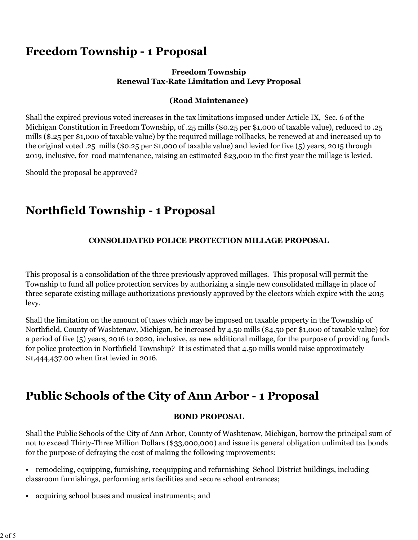## **Freedom Township - 1 Proposal**

### **Freedom Township Renewal Tax-Rate Limitation and Levy Proposal**

### **(Road Maintenance)**

Shall the expired previous voted increases in the tax limitations imposed under Article IX, Sec. 6 of the Michigan Constitution in Freedom Township, of .25 mills (\$0.25 per \$1,000 of taxable value), reduced to .25 mills (\$.25 per \$1,000 of taxable value) by the required millage rollbacks, be renewed at and increased up to the original voted .25 mills (\$0.25 per \$1,000 of taxable value) and levied for five (5) years, 2015 through 2019, inclusive, for road maintenance, raising an estimated \$23,000 in the first year the millage is levied.

Should the proposal be approved?

# **Northfield Township - 1 Proposal**

### **CONSOLIDATED POLICE PROTECTION MILLAGE PROPOSAL**

This proposal is a consolidation of the three previously approved millages. This proposal will permit the Township to fund all police protection services by authorizing a single new consolidated millage in place of three separate existing millage authorizations previously approved by the electors which expire with the 2015 levy.

Shall the limitation on the amount of taxes which may be imposed on taxable property in the Township of Northfield, County of Washtenaw, Michigan, be increased by 4.50 mills (\$4.50 per \$1,000 of taxable value) for a period of five (5) years, 2016 to 2020, inclusive, as new additional millage, for the purpose of providing funds for police protection in Northfield Township? It is estimated that 4.50 mills would raise approximately \$1,444,437.00 when first levied in 2016.

# **Public Schools of the City of Ann Arbor - 1 Proposal**

#### **BOND PROPOSAL**

Shall the Public Schools of the City of Ann Arbor, County of Washtenaw, Michigan, borrow the principal sum of not to exceed Thirty-Three Million Dollars (\$33,000,000) and issue its general obligation unlimited tax bonds for the purpose of defraying the cost of making the following improvements:

- remodeling, equipping, furnishing, reequipping and refurnishing School District buildings, including classroom furnishings, performing arts facilities and secure school entrances;
- acquiring school buses and musical instruments; and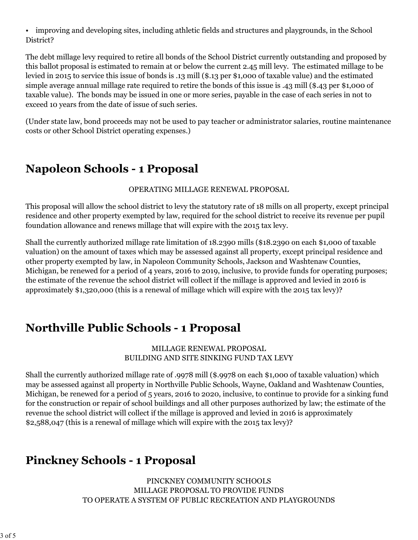• improving and developing sites, including athletic fields and structures and playgrounds, in the School District?

The debt millage levy required to retire all bonds of the School District currently outstanding and proposed by this ballot proposal is estimated to remain at or below the current 2.45 mill levy. The estimated millage to be levied in 2015 to service this issue of bonds is .13 mill (\$.13 per \$1,000 of taxable value) and the estimated simple average annual millage rate required to retire the bonds of this issue is .43 mill (\$.43 per \$1,000 of taxable value). The bonds may be issued in one or more series, payable in the case of each series in not to exceed 10 years from the date of issue of such series.

(Under state law, bond proceeds may not be used to pay teacher or administrator salaries, routine maintenance costs or other School District operating expenses.)

# **Napoleon Schools - 1 Proposal**

### OPERATING MILLAGE RENEWAL PROPOSAL

This proposal will allow the school district to levy the statutory rate of 18 mills on all property, except principal residence and other property exempted by law, required for the school district to receive its revenue per pupil foundation allowance and renews millage that will expire with the 2015 tax levy.

Shall the currently authorized millage rate limitation of 18.2390 mills (\$18.2390 on each \$1,000 of taxable valuation) on the amount of taxes which may be assessed against all property, except principal residence and other property exempted by law, in Napoleon Community Schools, Jackson and Washtenaw Counties, Michigan, be renewed for a period of 4 years, 2016 to 2019, inclusive, to provide funds for operating purposes; the estimate of the revenue the school district will collect if the millage is approved and levied in 2016 is approximately \$1,320,000 (this is a renewal of millage which will expire with the 2015 tax levy)?

# **Northville Public Schools - 1 Proposal**

### MILLAGE RENEWAL PROPOSAL BUILDING AND SITE SINKING FUND TAX LEVY

Shall the currently authorized millage rate of .9978 mill (\$.9978 on each \$1,000 of taxable valuation) which may be assessed against all property in Northville Public Schools, Wayne, Oakland and Washtenaw Counties, Michigan, be renewed for a period of 5 years, 2016 to 2020, inclusive, to continue to provide for a sinking fund for the construction or repair of school buildings and all other purposes authorized by law; the estimate of the revenue the school district will collect if the millage is approved and levied in 2016 is approximately \$2,588,047 (this is a renewal of millage which will expire with the 2015 tax levy)?

# **Pinckney Schools - 1 Proposal**

PINCKNEY COMMUNITY SCHOOLS MILLAGE PROPOSAL TO PROVIDE FUNDS TO OPERATE A SYSTEM OF PUBLIC RECREATION AND PLAYGROUNDS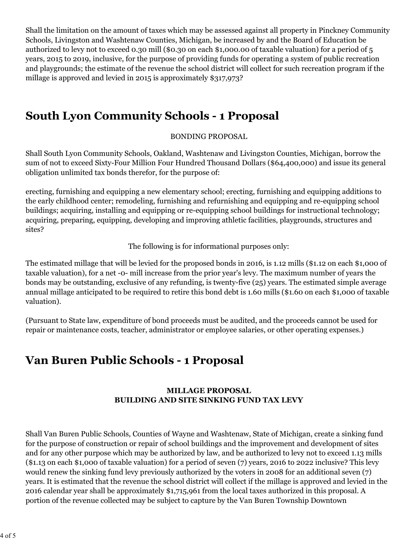Shall the limitation on the amount of taxes which may be assessed against all property in Pinckney Community Schools, Livingston and Washtenaw Counties, Michigan, be increased by and the Board of Education be authorized to levy not to exceed 0.30 mill (\$0.30 on each \$1,000.00 of taxable valuation) for a period of 5 years, 2015 to 2019, inclusive, for the purpose of providing funds for operating a system of public recreation and playgrounds; the estimate of the revenue the school district will collect for such recreation program if the millage is approved and levied in 2015 is approximately \$317,973?

## **South Lyon Community Schools - 1 Proposal**

### BONDING PROPOSAL

Shall South Lyon Community Schools, Oakland, Washtenaw and Livingston Counties, Michigan, borrow the sum of not to exceed Sixty-Four Million Four Hundred Thousand Dollars (\$64,400,000) and issue its general obligation unlimited tax bonds therefor, for the purpose of:

erecting, furnishing and equipping a new elementary school; erecting, furnishing and equipping additions to the early childhood center; remodeling, furnishing and refurnishing and equipping and re-equipping school buildings; acquiring, installing and equipping or re-equipping school buildings for instructional technology; acquiring, preparing, equipping, developing and improving athletic facilities, playgrounds, structures and sites?

The following is for informational purposes only:

The estimated millage that will be levied for the proposed bonds in 2016, is 1.12 mills (\$1.12 on each \$1,000 of taxable valuation), for a net -0- mill increase from the prior year's levy. The maximum number of years the bonds may be outstanding, exclusive of any refunding, is twenty-five (25) years. The estimated simple average annual millage anticipated to be required to retire this bond debt is 1.60 mills (\$1.60 on each \$1,000 of taxable valuation).

(Pursuant to State law, expenditure of bond proceeds must be audited, and the proceeds cannot be used for repair or maintenance costs, teacher, administrator or employee salaries, or other operating expenses.)

# **Van Buren Public Schools - 1 Proposal**

### **MILLAGE PROPOSAL BUILDING AND SITE SINKING FUND TAX LEVY**

Shall Van Buren Public Schools, Counties of Wayne and Washtenaw, State of Michigan, create a sinking fund for the purpose of construction or repair of school buildings and the improvement and development of sites and for any other purpose which may be authorized by law, and be authorized to levy not to exceed 1.13 mills (\$1.13 on each \$1,000 of taxable valuation) for a period of seven (7) years, 2016 to 2022 inclusive? This levy would renew the sinking fund levy previously authorized by the voters in 2008 for an additional seven (7) years. It is estimated that the revenue the school district will collect if the millage is approved and levied in the 2016 calendar year shall be approximately \$1,715,961 from the local taxes authorized in this proposal. A portion of the revenue collected may be subject to capture by the Van Buren Township Downtown